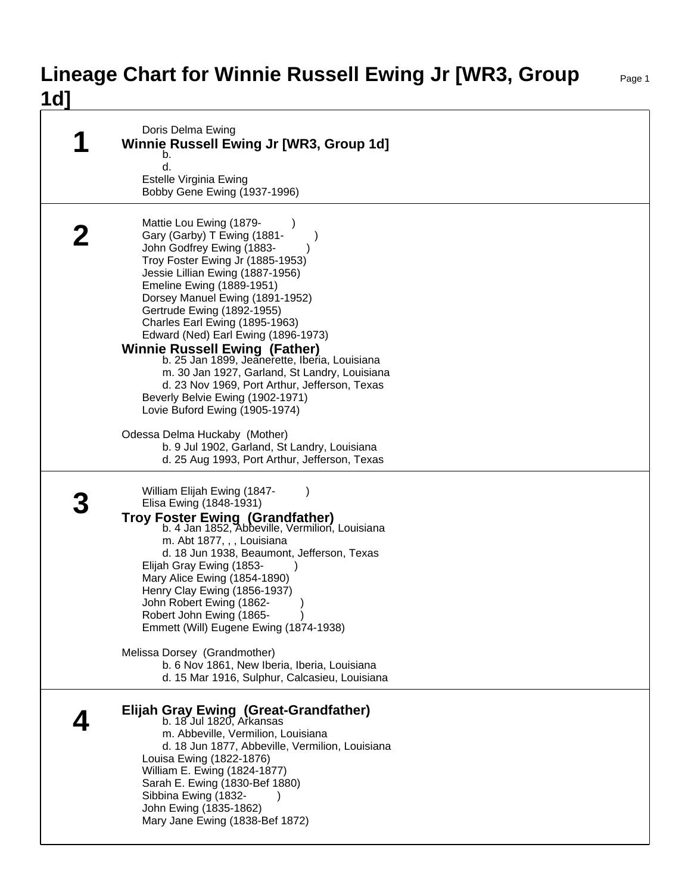## **Lineage Chart for Winnie Russell Ewing Jr [WR3, Group 1d]**

| 1 | Doris Delma Ewing<br>Winnie Russell Ewing Jr [WR3, Group 1d]<br>b. |
|---|--------------------------------------------------------------------|
|   | d.                                                                 |
|   | Estelle Virginia Ewing                                             |
|   | Bobby Gene Ewing (1937-1996)                                       |
|   |                                                                    |
|   |                                                                    |
|   | Mattie Lou Ewing (1879-                                            |
|   | Gary (Garby) T Ewing (1881-                                        |
|   | John Godfrey Ewing (1883-                                          |
|   | Troy Foster Ewing Jr (1885-1953)                                   |
|   | Jessie Lillian Ewing (1887-1956)                                   |
|   | Emeline Ewing (1889-1951)                                          |
|   | Dorsey Manuel Ewing (1891-1952)                                    |
|   | Gertrude Ewing (1892-1955)                                         |
|   | Charles Earl Ewing (1895-1963)                                     |
|   | Edward (Ned) Earl Ewing (1896-1973)                                |
|   | <b>Winnie Russell Ewing (Father)</b>                               |
|   | b. 25 Jan 1899, Jeanerette, Iberia, Louisiana                      |
|   | m. 30 Jan 1927, Garland, St Landry, Louisiana                      |
|   | d. 23 Nov 1969, Port Arthur, Jefferson, Texas                      |
|   | Beverly Belvie Ewing (1902-1971)                                   |
|   | Lovie Buford Ewing (1905-1974)                                     |
|   |                                                                    |
|   | Odessa Delma Huckaby (Mother)                                      |
|   | b. 9 Jul 1902, Garland, St Landry, Louisiana                       |
|   | d. 25 Aug 1993, Port Arthur, Jefferson, Texas                      |
|   |                                                                    |
|   | William Elijah Ewing (1847-                                        |
|   | Elisa Ewing (1848-1931)                                            |
|   | <b>Troy Foster Ewing (Grandfather)</b>                             |
|   | b. 4 Jan 1852, Abbeville, Vermilion, Louisiana                     |
|   | m. Abt 1877, , , Louisiana                                         |
|   | d. 18 Jun 1938, Beaumont, Jefferson, Texas                         |
|   | Elijah Gray Ewing (1853-                                           |
|   | Mary Alice Ewing (1854-1890)                                       |
|   | Henry Clay Ewing (1856-1937)                                       |
|   | John Robert Ewing (1862-                                           |
|   | Robert John Ewing (1865-)                                          |
|   | Emmett (Will) Eugene Ewing (1874-1938)                             |
|   |                                                                    |
|   | Melissa Dorsey (Grandmother)                                       |
|   | b. 6 Nov 1861, New Iberia, Iberia, Louisiana                       |
|   | d. 15 Mar 1916, Sulphur, Calcasieu, Louisiana                      |
|   |                                                                    |
|   |                                                                    |
|   | Elijah Gray Ewing (Great-Grandfather)<br>b. 18 Jul 1820, Arkansas  |
|   | m. Abbeville, Vermilion, Louisiana                                 |
|   | d. 18 Jun 1877, Abbeville, Vermilion, Louisiana                    |
|   | Louisa Ewing (1822-1876)                                           |
|   | William E. Ewing (1824-1877)                                       |
|   | Sarah E. Ewing (1830-Bef 1880)                                     |
|   | Sibbina Ewing (1832-                                               |
|   | John Ewing (1835-1862)                                             |
|   | Mary Jane Ewing (1838-Bef 1872)                                    |
|   |                                                                    |